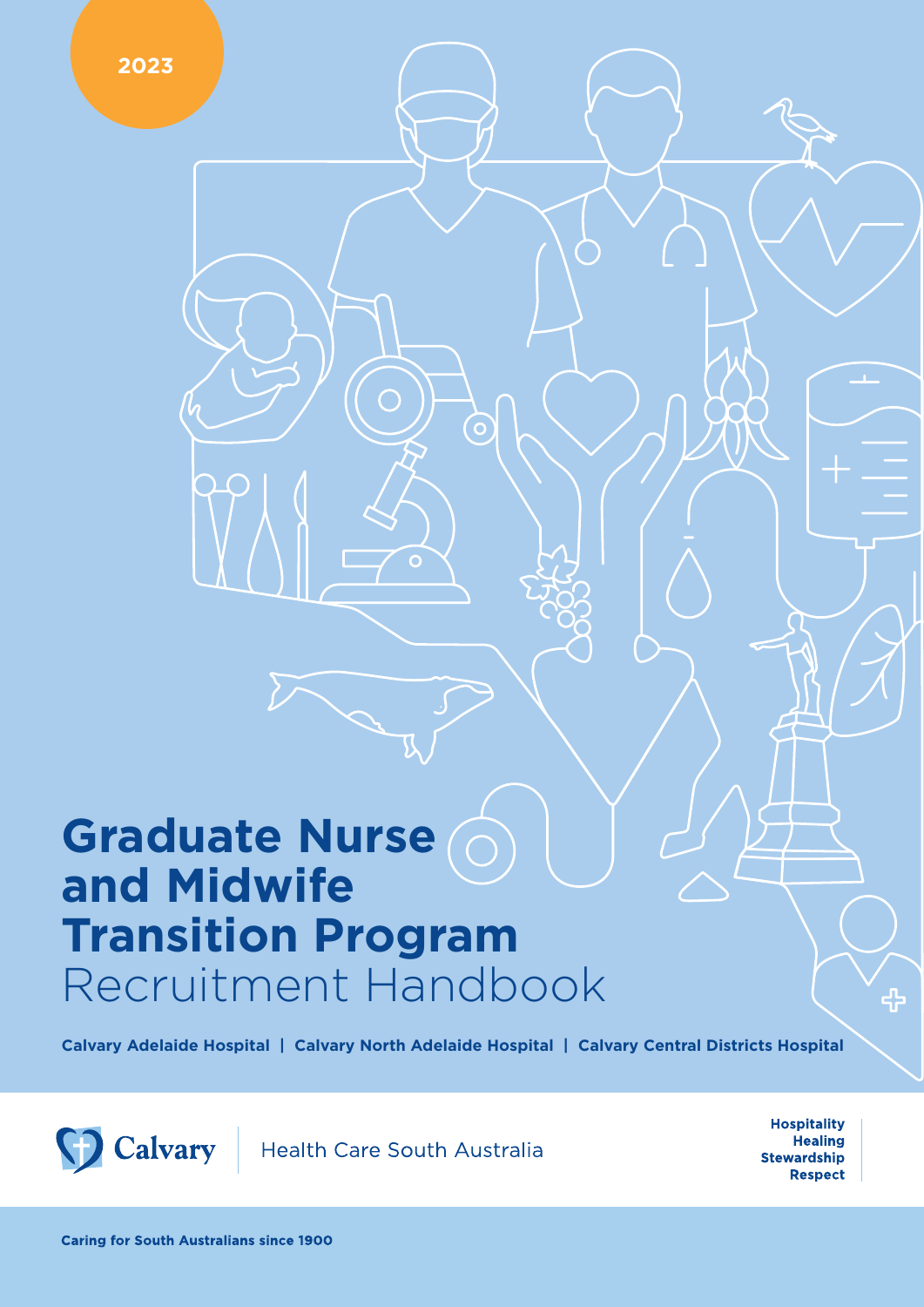**Calvary Adelaide Hospital | Calvary North Adelaide Hospital | Calvary Central Districts Hospital**



Health Care South Australia

**Hospitality Healing Stewardship Respect**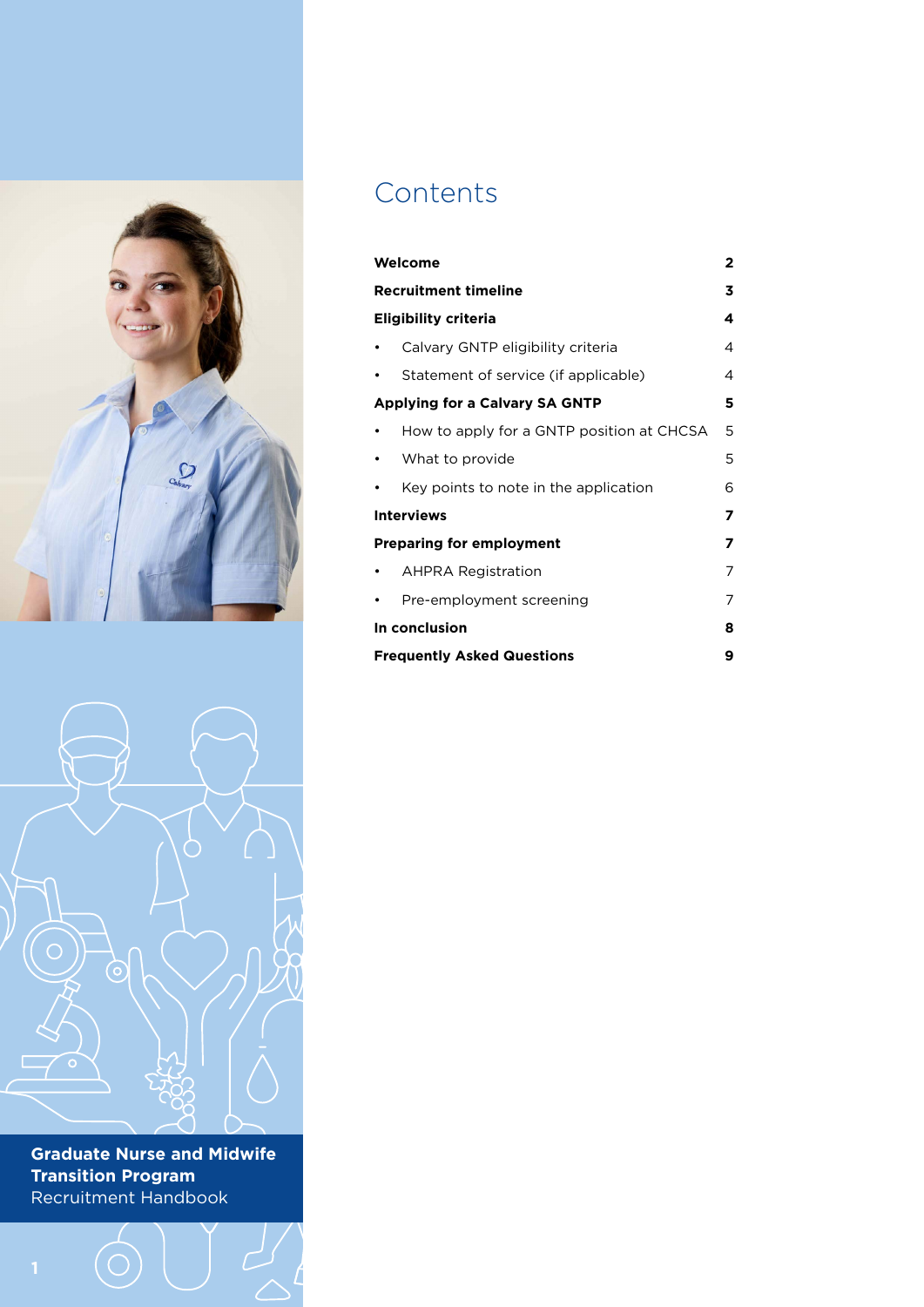

# **Contents**

| Welcome                                   |   |  |
|-------------------------------------------|---|--|
| <b>Recruitment timeline</b>               |   |  |
| <b>Eligibility criteria</b>               |   |  |
| Calvary GNTP eligibility criteria         | 4 |  |
| Statement of service (if applicable)      | 4 |  |
| <b>Applying for a Calvary SA GNTP</b>     | 5 |  |
| How to apply for a GNTP position at CHCSA | 5 |  |
| What to provide                           | 5 |  |
| Key points to note in the application     | 6 |  |
| <b>Interviews</b><br>7                    |   |  |
| <b>Preparing for employment</b>           | 7 |  |
| <b>AHPRA Registration</b>                 | 7 |  |
| Pre-employment screening                  | 7 |  |
| In conclusion                             | 8 |  |
| <b>Frequently Asked Questions</b>         | 9 |  |

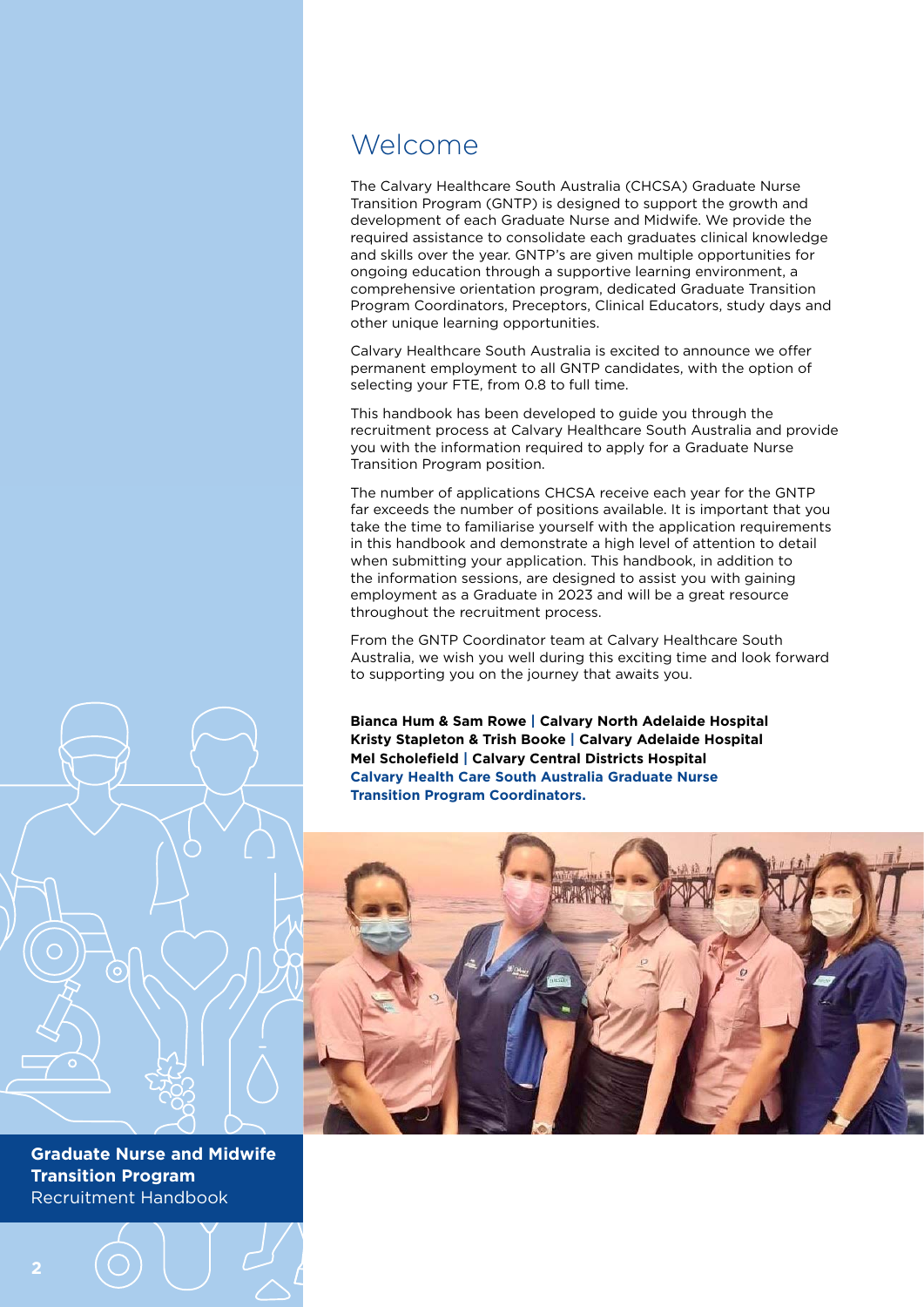### Welcome

The Calvary Healthcare South Australia (CHCSA) Graduate Nurse Transition Program (GNTP) is designed to support the growth and development of each Graduate Nurse and Midwife. We provide the required assistance to consolidate each graduates clinical knowledge and skills over the year. GNTP's are given multiple opportunities for ongoing education through a supportive learning environment, a comprehensive orientation program, dedicated Graduate Transition Program Coordinators, Preceptors, Clinical Educators, study days and other unique learning opportunities.

Calvary Healthcare South Australia is excited to announce we offer permanent employment to all GNTP candidates, with the option of selecting your FTE, from 0.8 to full time.

This handbook has been developed to guide you through the recruitment process at Calvary Healthcare South Australia and provide you with the information required to apply for a Graduate Nurse Transition Program position.

The number of applications CHCSA receive each year for the GNTP far exceeds the number of positions available. It is important that you take the time to familiarise yourself with the application requirements in this handbook and demonstrate a high level of attention to detail when submitting your application. This handbook, in addition to the information sessions, are designed to assist you with gaining employment as a Graduate in 2023 and will be a great resource throughout the recruitment process.

From the GNTP Coordinator team at Calvary Healthcare South Australia, we wish you well during this exciting time and look forward to supporting you on the journey that awaits you.

**Bianca Hum & Sam Rowe | Calvary North Adelaide Hospital Kristy Stapleton & Trish Booke | Calvary Adelaide Hospital Mel Scholefield | Calvary Central Districts Hospital Calvary Health Care South Australia Graduate Nurse Transition Program Coordinators.**

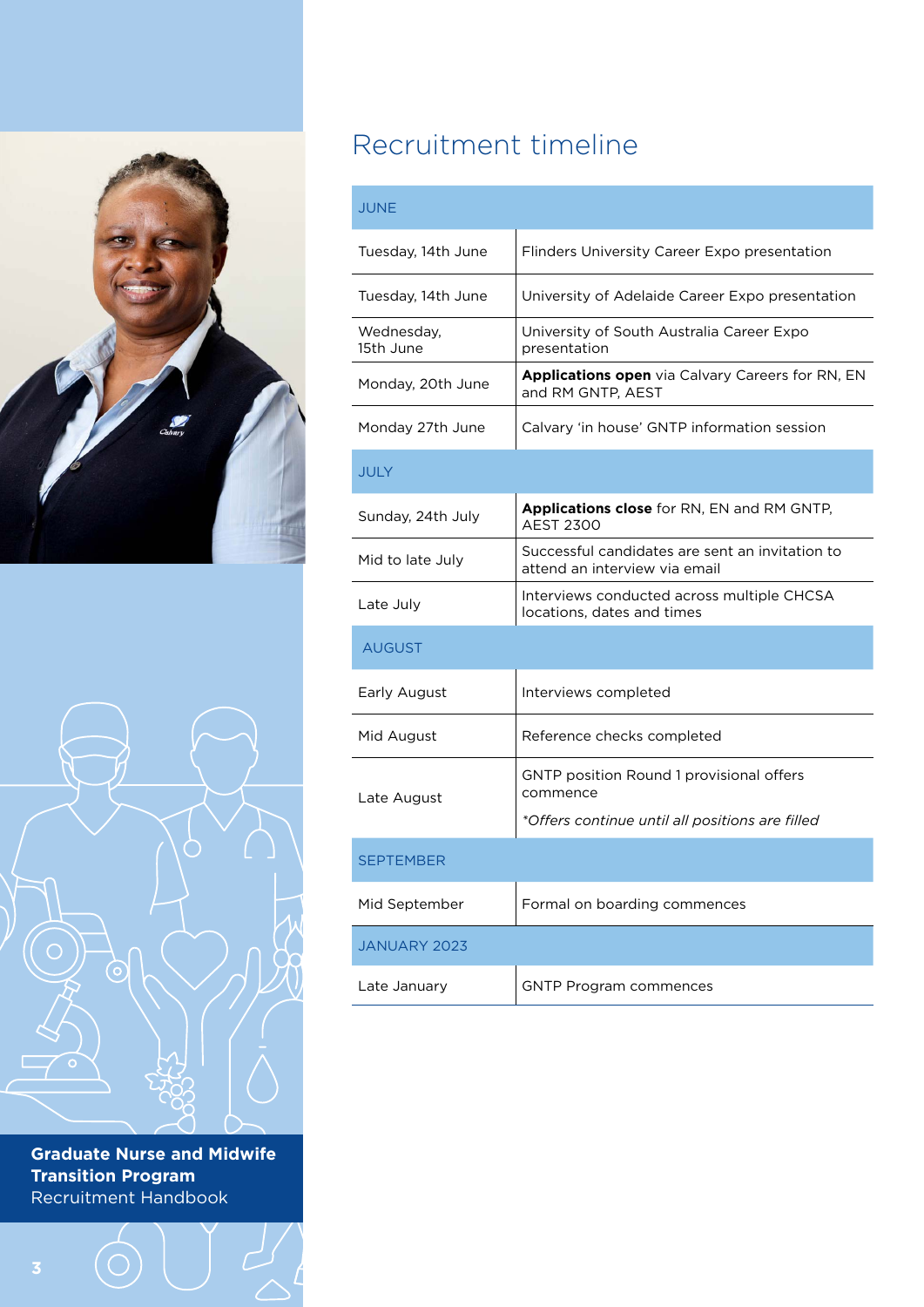



# Recruitment timeline

### JUNE

| Tuesday, 14th June      | Flinders University Career Expo presentation                                     |
|-------------------------|----------------------------------------------------------------------------------|
| Tuesday, 14th June      | University of Adelaide Career Expo presentation                                  |
| Wednesday,<br>15th June | University of South Australia Career Expo<br>presentation                        |
| Monday, 20th June       | <b>Applications open</b> via Calvary Careers for RN, EN<br>and RM GNTP, AEST     |
| Monday 27th June        | Calvary 'in house' GNTP information session                                      |
| <b>JULY</b>             |                                                                                  |
| Sunday, 24th July       | <b>Applications close</b> for RN, EN and RM GNTP,<br><b>AEST 2300</b>            |
| Mid to late July        | Successful candidates are sent an invitation to<br>attend an interview via email |
| Late July               | Interviews conducted across multiple CHCSA<br>locations, dates and times         |
| <b>AUGUST</b>           |                                                                                  |
| Early August            | Interviews completed                                                             |
| Mid August              | Reference checks completed                                                       |
| Late August             | <b>GNTP position Round 1 provisional offers</b><br>commence                      |
|                         | *Offers continue until all positions are filled                                  |
| <b>SEPTEMBER</b>        |                                                                                  |
| Mid September           | Formal on boarding commences                                                     |
| <b>JANUARY 2023</b>     |                                                                                  |
| Late January            | <b>GNTP Program commences</b>                                                    |
|                         |                                                                                  |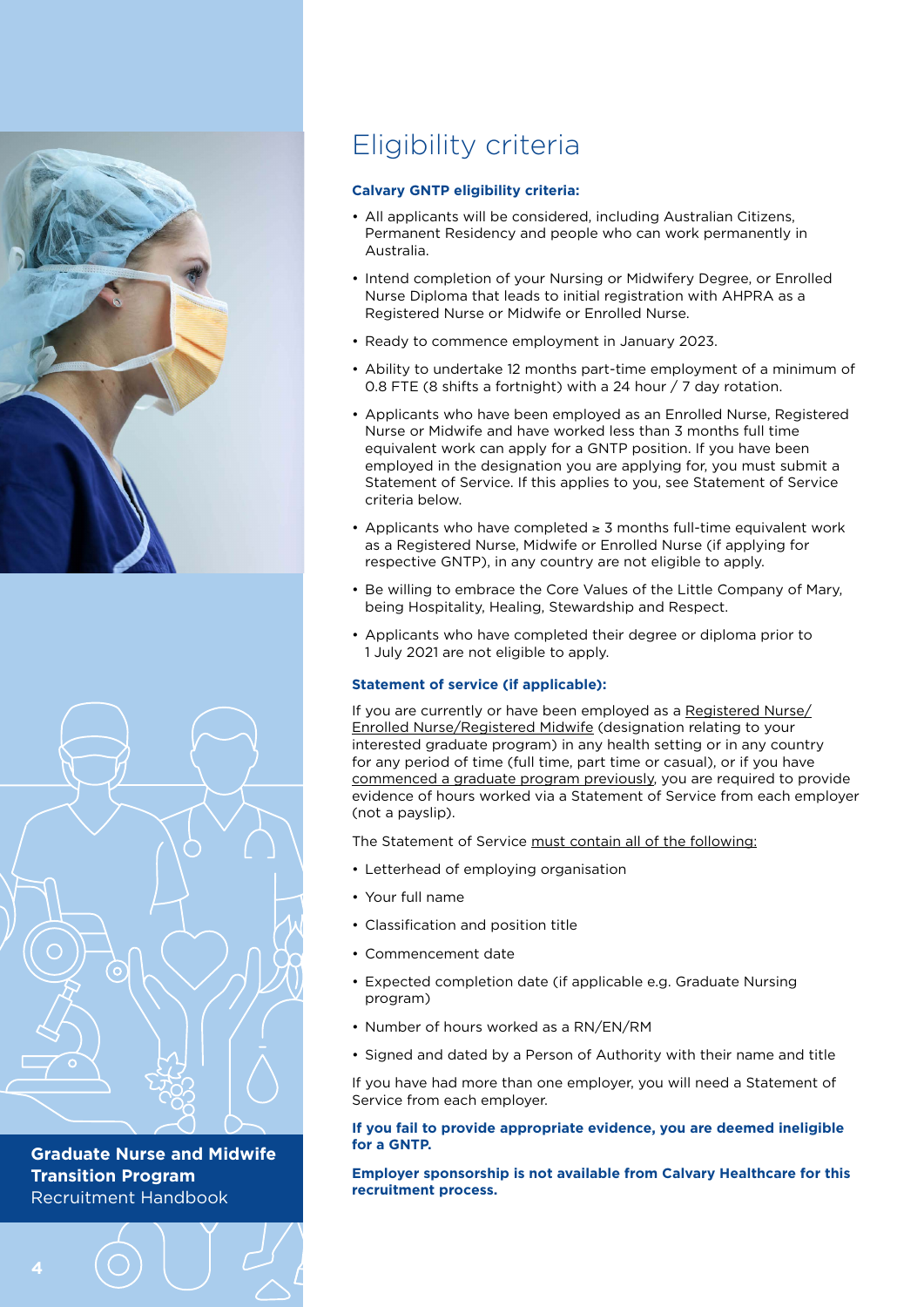



## Eligibility criteria

#### **Calvary GNTP eligibility criteria:**

- All applicants will be considered, including Australian Citizens, Permanent Residency and people who can work permanently in Australia.
- Intend completion of your Nursing or Midwifery Degree, or Enrolled Nurse Diploma that leads to initial registration with AHPRA as a Registered Nurse or Midwife or Enrolled Nurse.
- Ready to commence employment in January 2023.
- Ability to undertake 12 months part-time employment of a minimum of 0.8 FTE (8 shifts a fortnight) with a 24 hour / 7 day rotation.
- Applicants who have been employed as an Enrolled Nurse, Registered Nurse or Midwife and have worked less than 3 months full time equivalent work can apply for a GNTP position. If you have been employed in the designation you are applying for, you must submit a Statement of Service. If this applies to you, see Statement of Service criteria below.
- Applicants who have completed ≥ 3 months full-time equivalent work as a Registered Nurse, Midwife or Enrolled Nurse (if applying for respective GNTP), in any country are not eligible to apply.
- Be willing to embrace the Core Values of the Little Company of Mary, being Hospitality, Healing, Stewardship and Respect.
- Applicants who have completed their degree or diploma prior to 1 July 2021 are not eligible to apply.

#### **Statement of service (if applicable):**

If you are currently or have been employed as a Registered Nurse/ Enrolled Nurse/Registered Midwife (designation relating to your interested graduate program) in any health setting or in any country for any period of time (full time, part time or casual), or if you have commenced a graduate program previously, you are required to provide evidence of hours worked via a Statement of Service from each employer (not a payslip).

The Statement of Service must contain all of the following:

- Letterhead of employing organisation
- Your full name
- Classification and position title
- Commencement date
- Expected completion date (if applicable e.g. Graduate Nursing program)
- Number of hours worked as a RN/EN/RM
- Signed and dated by a Person of Authority with their name and title

If you have had more than one employer, you will need a Statement of Service from each employer.

#### **If you fail to provide appropriate evidence, you are deemed ineligible for a GNTP.**

**Employer sponsorship is not available from Calvary Healthcare for this recruitment process.**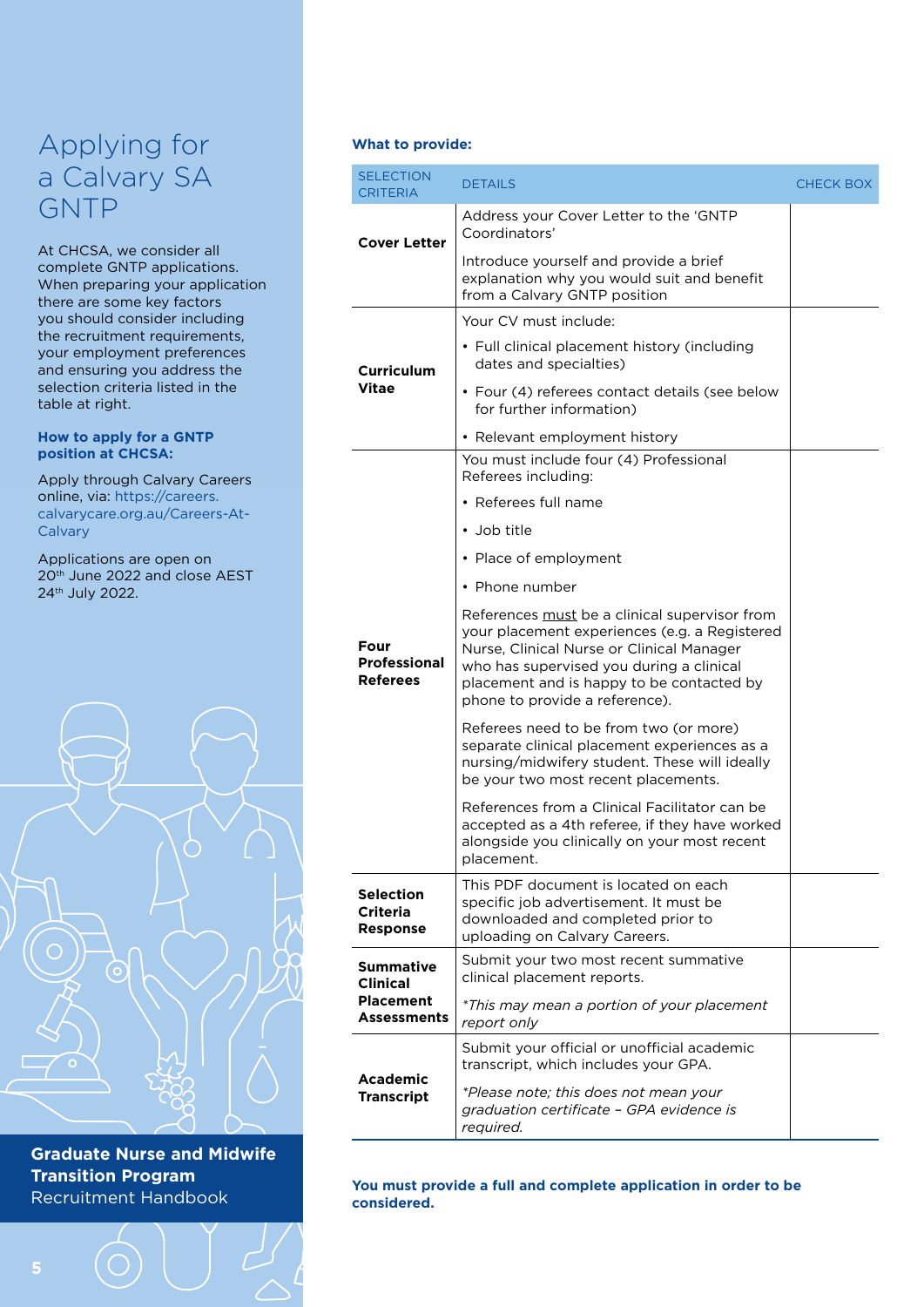### Applying for a Calvary SA GNTP

At CHCSA, we consider all complete GNTP applications. When preparing your application there are some key factors you should consider including the recruitment requirements, your employment preferences and ensuring you address the selection criteria listed in the table at right.

#### **How to apply for a GNTP position at CHCSA:**

Apply through Calvary Careers online, via: [https://careers.](https://careers.calvarycare.org.au/Careers-At-Calvary) [calvarycare.org.au/Careers-At-](https://careers.calvarycare.org.au/Careers-At-Calvary)**[Calvary](https://careers.calvarycare.org.au/Careers-At-Calvary)** 

Applications are open on 20th June 2022 and close AEST 24th July 2022.



**Graduate Nurse and Midwife Transition Program** Recruitment Handbook

#### **What to provide:**

| <b>SELECTION</b><br><b>CRITERIA</b>                                    | <b>DETAILS</b>                                                                                                                                                                                                                                                         | CHECK BOX |
|------------------------------------------------------------------------|------------------------------------------------------------------------------------------------------------------------------------------------------------------------------------------------------------------------------------------------------------------------|-----------|
| <b>Cover Letter</b>                                                    | Address your Cover Letter to the 'GNTP<br>Coordinators'                                                                                                                                                                                                                |           |
|                                                                        | Introduce yourself and provide a brief<br>explanation why you would suit and benefit<br>from a Calvary GNTP position                                                                                                                                                   |           |
| Curriculum<br>Vitae                                                    | Your CV must include:                                                                                                                                                                                                                                                  |           |
|                                                                        | • Full clinical placement history (including<br>dates and specialties)                                                                                                                                                                                                 |           |
|                                                                        | • Four (4) referees contact details (see below<br>for further information)                                                                                                                                                                                             |           |
|                                                                        | • Relevant employment history                                                                                                                                                                                                                                          |           |
|                                                                        | You must include four (4) Professional<br>Referees including:                                                                                                                                                                                                          |           |
|                                                                        | • Referees full name                                                                                                                                                                                                                                                   |           |
|                                                                        | • Job title                                                                                                                                                                                                                                                            |           |
|                                                                        | • Place of employment                                                                                                                                                                                                                                                  |           |
| Four<br><b>Professional</b><br><b>Referees</b>                         | • Phone number                                                                                                                                                                                                                                                         |           |
|                                                                        | References must be a clinical supervisor from<br>your placement experiences (e.g. a Registered<br>Nurse, Clinical Nurse or Clinical Manager<br>who has supervised you during a clinical<br>placement and is happy to be contacted by<br>phone to provide a reference). |           |
|                                                                        | Referees need to be from two (or more)<br>separate clinical placement experiences as a<br>nursing/midwifery student. These will ideally<br>be your two most recent placements.                                                                                         |           |
|                                                                        | References from a Clinical Facilitator can be<br>accepted as a 4th referee, if they have worked<br>alongside you clinically on your most recent<br>placement.                                                                                                          |           |
| <b>Selection</b><br>Criteria<br><b>Response</b>                        | This PDF document is located on each<br>specific job advertisement. It must be<br>downloaded and completed prior to<br>uploading on Calvary Careers.                                                                                                                   |           |
| <b>Summative</b><br><b>Clinical</b><br><b>Placement</b><br>Assessments | Submit your two most recent summative<br>clinical placement reports.                                                                                                                                                                                                   |           |
|                                                                        | *This may mean a portion of your placement<br>report only                                                                                                                                                                                                              |           |
|                                                                        | Submit your official or unofficial academic                                                                                                                                                                                                                            |           |
| Academic<br><b>Transcript</b>                                          | transcript, which includes your GPA.<br>*Please note; this does not mean your<br>graduation certificate - GPA evidence is<br>required.                                                                                                                                 |           |

**You must provide a full and complete application in order to be considered.**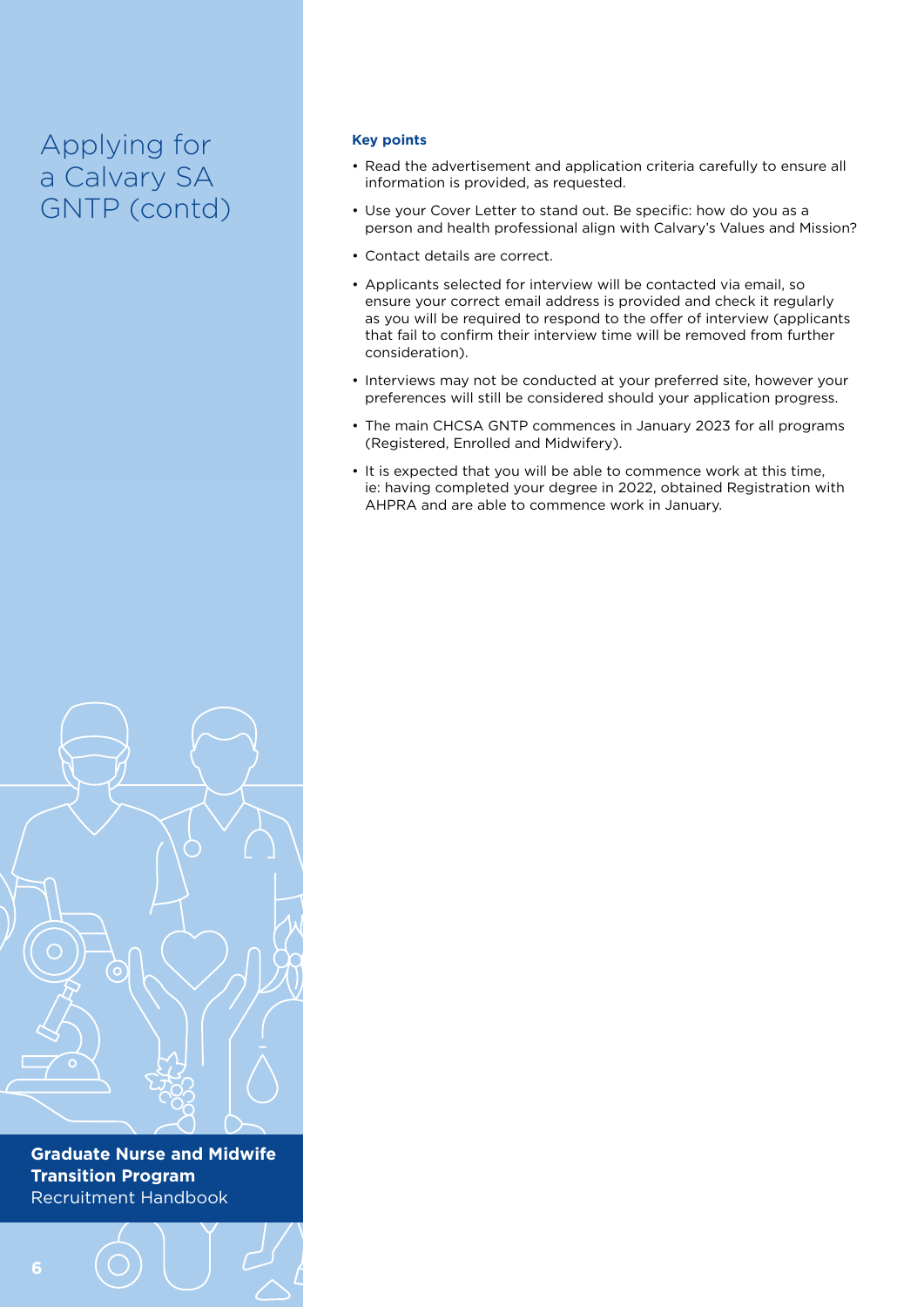### Applying for a Calvary SA GNTP (contd)

#### **Key points**

- Read the advertisement and application criteria carefully to ensure all information is provided, as requested.
- Use your Cover Letter to stand out. Be specific: how do you as a person and health professional align with Calvary's Values and Mission?
- Contact details are correct.
- Applicants selected for interview will be contacted via email, so ensure your correct email address is provided and check it regularly as you will be required to respond to the offer of interview (applicants that fail to confirm their interview time will be removed from further consideration).
- Interviews may not be conducted at your preferred site, however your preferences will still be considered should your application progress.
- The main CHCSA GNTP commences in January 2023 for all programs (Registered, Enrolled and Midwifery).
- It is expected that you will be able to commence work at this time, ie: having completed your degree in 2022, obtained Registration with AHPRA and are able to commence work in January.

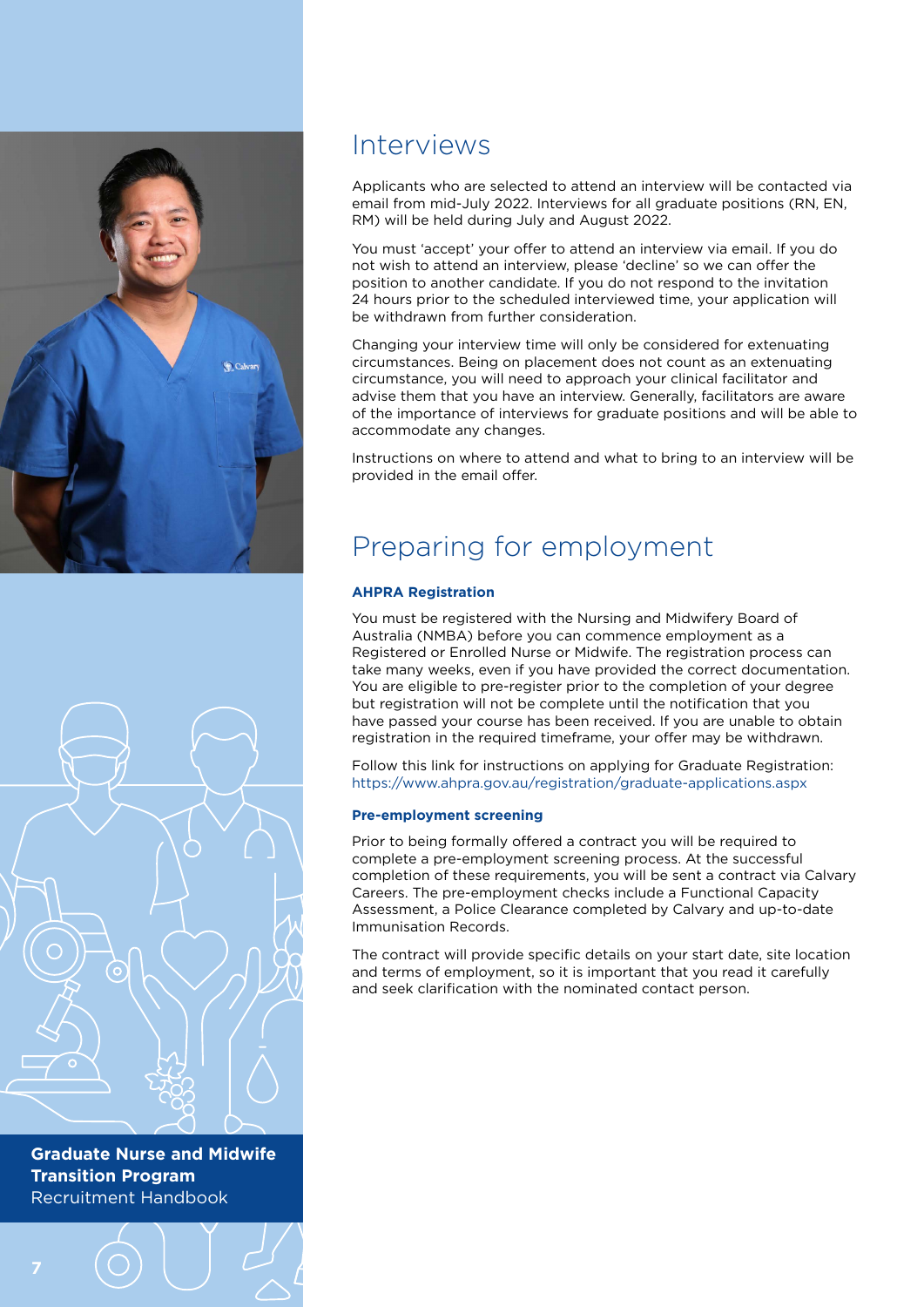



### Interviews

Applicants who are selected to attend an interview will be contacted via email from mid-July 2022. Interviews for all graduate positions (RN, EN, RM) will be held during July and August 2022.

You must 'accept' your offer to attend an interview via email. If you do not wish to attend an interview, please 'decline' so we can offer the position to another candidate. If you do not respond to the invitation 24 hours prior to the scheduled interviewed time, your application will be withdrawn from further consideration.

Changing your interview time will only be considered for extenuating circumstances. Being on placement does not count as an extenuating circumstance, you will need to approach your clinical facilitator and advise them that you have an interview. Generally, facilitators are aware of the importance of interviews for graduate positions and will be able to accommodate any changes.

Instructions on where to attend and what to bring to an interview will be provided in the email offer.

### Preparing for employment

### **AHPRA Registration**

You must be registered with the Nursing and Midwifery Board of Australia (NMBA) before you can commence employment as a Registered or Enrolled Nurse or Midwife. The registration process can take many weeks, even if you have provided the correct documentation. You are eligible to pre-register prior to the completion of your degree but registration will not be complete until the notification that you have passed your course has been received. If you are unable to obtain registration in the required timeframe, your offer may be withdrawn.

Follow this link for instructions on applying for Graduate Registration: <https://www.ahpra.gov.au/registration/graduate-applications.aspx>

#### **Pre-employment screening**

Prior to being formally offered a contract you will be required to complete a pre-employment screening process. At the successful completion of these requirements, you will be sent a contract via Calvary Careers. The pre-employment checks include a Functional Capacity Assessment, a Police Clearance completed by Calvary and up-to-date Immunisation Records.

The contract will provide specific details on your start date, site location and terms of employment, so it is important that you read it carefully and seek clarification with the nominated contact person.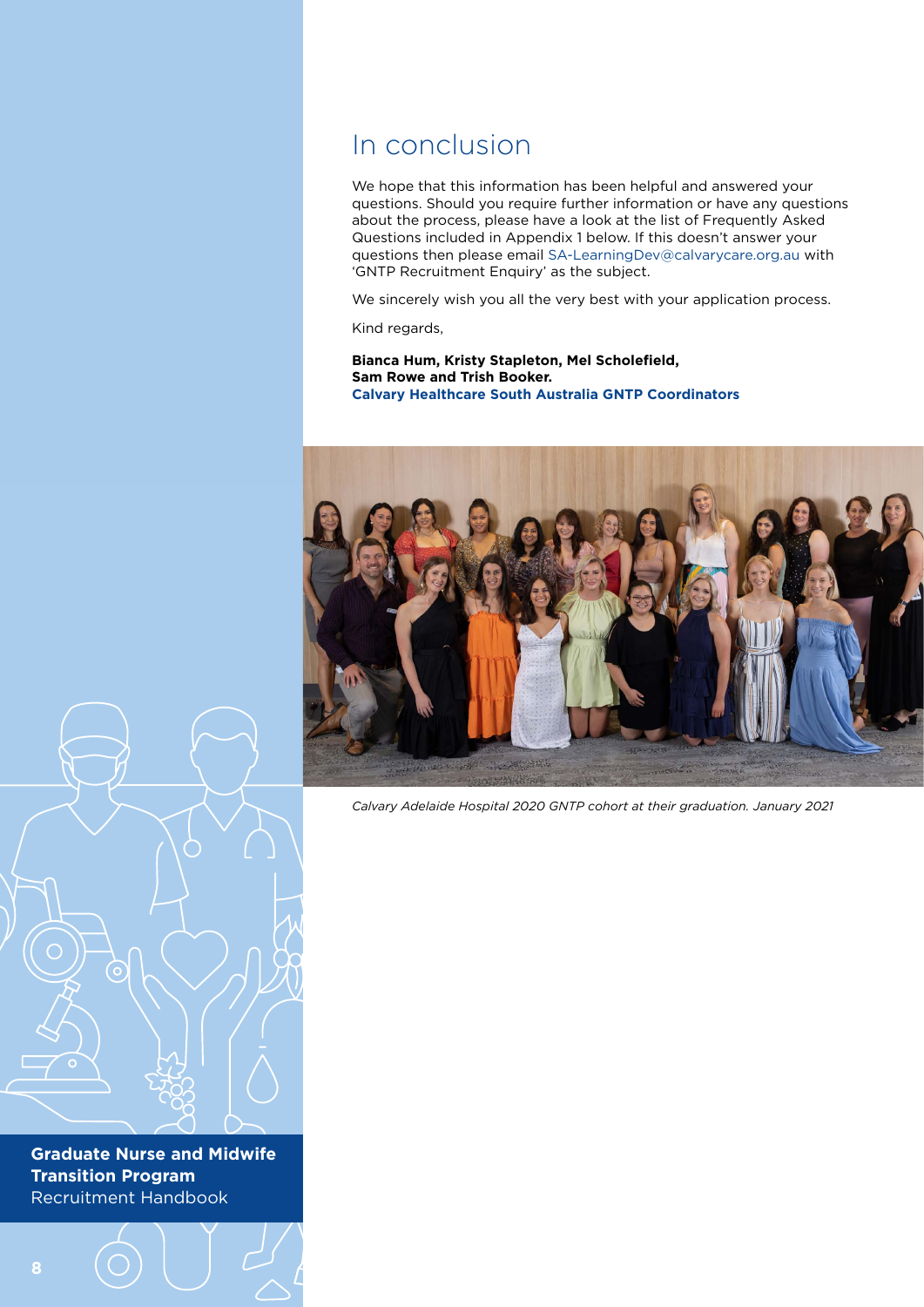### In conclusion

We hope that this information has been helpful and answered your questions. Should you require further information or have any questions about the process, please have a look at the list of Frequently Asked Questions included in Appendix 1 below. If this doesn't answer your questions then please email [SA-LearningDev@calvarycare.org.au](mailto:SA-LearningDev@calvarycare.org.au) with 'GNTP Recruitment Enquiry' as the subject.

We sincerely wish you all the very best with your application process.

Kind regards,

**Bianca Hum, Kristy Stapleton, Mel Scholefield, Sam Rowe and Trish Booker. Calvary Healthcare South Australia GNTP Coordinators**



*Calvary Adelaide Hospital 2020 GNTP cohort at their graduation. January 2021*

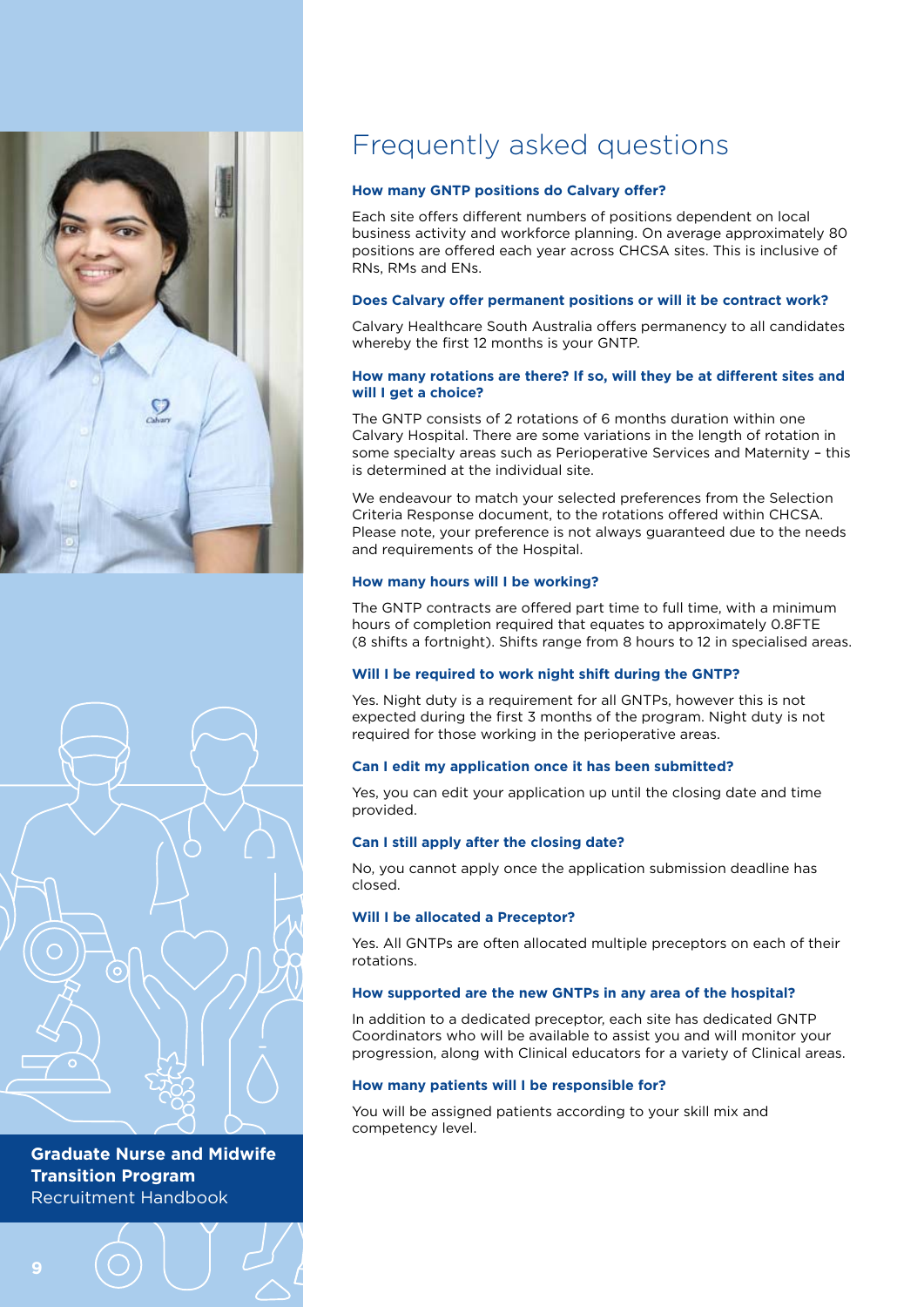



# Frequently asked questions

#### **How many GNTP positions do Calvary offer?**

Each site offers different numbers of positions dependent on local business activity and workforce planning. On average approximately 80 positions are offered each year across CHCSA sites. This is inclusive of RNs, RMs and ENs.

#### **Does Calvary offer permanent positions or will it be contract work?**

Calvary Healthcare South Australia offers permanency to all candidates whereby the first 12 months is your GNTP.

#### **How many rotations are there? If so, will they be at different sites and will I get a choice?**

The GNTP consists of 2 rotations of 6 months duration within one Calvary Hospital. There are some variations in the length of rotation in some specialty areas such as Perioperative Services and Maternity – this is determined at the individual site.

We endeavour to match your selected preferences from the Selection Criteria Response document, to the rotations offered within CHCSA. Please note, your preference is not always guaranteed due to the needs and requirements of the Hospital.

#### **How many hours will I be working?**

The GNTP contracts are offered part time to full time, with a minimum hours of completion required that equates to approximately 0.8FTE (8 shifts a fortnight). Shifts range from 8 hours to 12 in specialised areas.

#### **Will I be required to work night shift during the GNTP?**

Yes. Night duty is a requirement for all GNTPs, however this is not expected during the first 3 months of the program. Night duty is not required for those working in the perioperative areas.

#### **Can I edit my application once it has been submitted?**

Yes, you can edit your application up until the closing date and time provided.

#### **Can I still apply after the closing date?**

No, you cannot apply once the application submission deadline has closed.

#### **Will I be allocated a Preceptor?**

Yes. All GNTPs are often allocated multiple preceptors on each of their rotations.

#### **How supported are the new GNTPs in any area of the hospital?**

In addition to a dedicated preceptor, each site has dedicated GNTP Coordinators who will be available to assist you and will monitor your progression, along with Clinical educators for a variety of Clinical areas.

#### **How many patients will I be responsible for?**

You will be assigned patients according to your skill mix and competency level.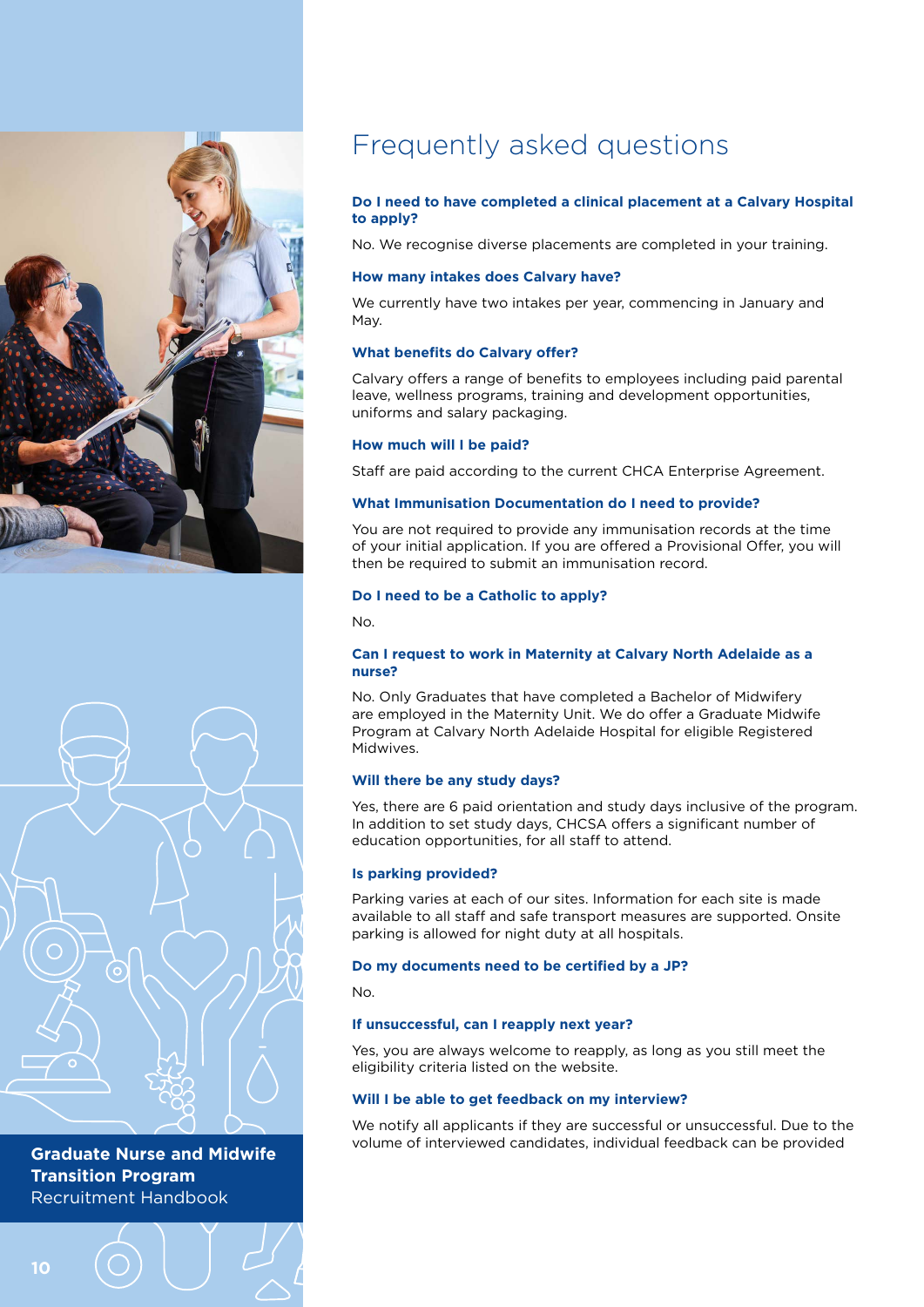



## Frequently asked questions

#### **Do I need to have completed a clinical placement at a Calvary Hospital to apply?**

No. We recognise diverse placements are completed in your training.

#### **How many intakes does Calvary have?**

We currently have two intakes per year, commencing in January and May.

#### **What benefits do Calvary offer?**

Calvary offers a range of benefits to employees including paid parental leave, wellness programs, training and development opportunities, uniforms and salary packaging.

#### **How much will I be paid?**

Staff are paid according to the current CHCA Enterprise Agreement.

#### **What Immunisation Documentation do I need to provide?**

You are not required to provide any immunisation records at the time of your initial application. If you are offered a Provisional Offer, you will then be required to submit an immunisation record.

#### **Do I need to be a Catholic to apply?**

No.

#### **Can I request to work in Maternity at Calvary North Adelaide as a nurse?**

No. Only Graduates that have completed a Bachelor of Midwifery are employed in the Maternity Unit. We do offer a Graduate Midwife Program at Calvary North Adelaide Hospital for eligible Registered Midwives.

#### **Will there be any study days?**

Yes, there are 6 paid orientation and study days inclusive of the program. In addition to set study days, CHCSA offers a significant number of education opportunities, for all staff to attend.

#### **Is parking provided?**

Parking varies at each of our sites. Information for each site is made available to all staff and safe transport measures are supported. Onsite parking is allowed for night duty at all hospitals.

#### **Do my documents need to be certified by a JP?**

No.

#### **If unsuccessful, can I reapply next year?**

Yes, you are always welcome to reapply, as long as you still meet the eligibility criteria listed on the website.

#### **Will I be able to get feedback on my interview?**

We notify all applicants if they are successful or unsuccessful. Due to the volume of interviewed candidates, individual feedback can be provided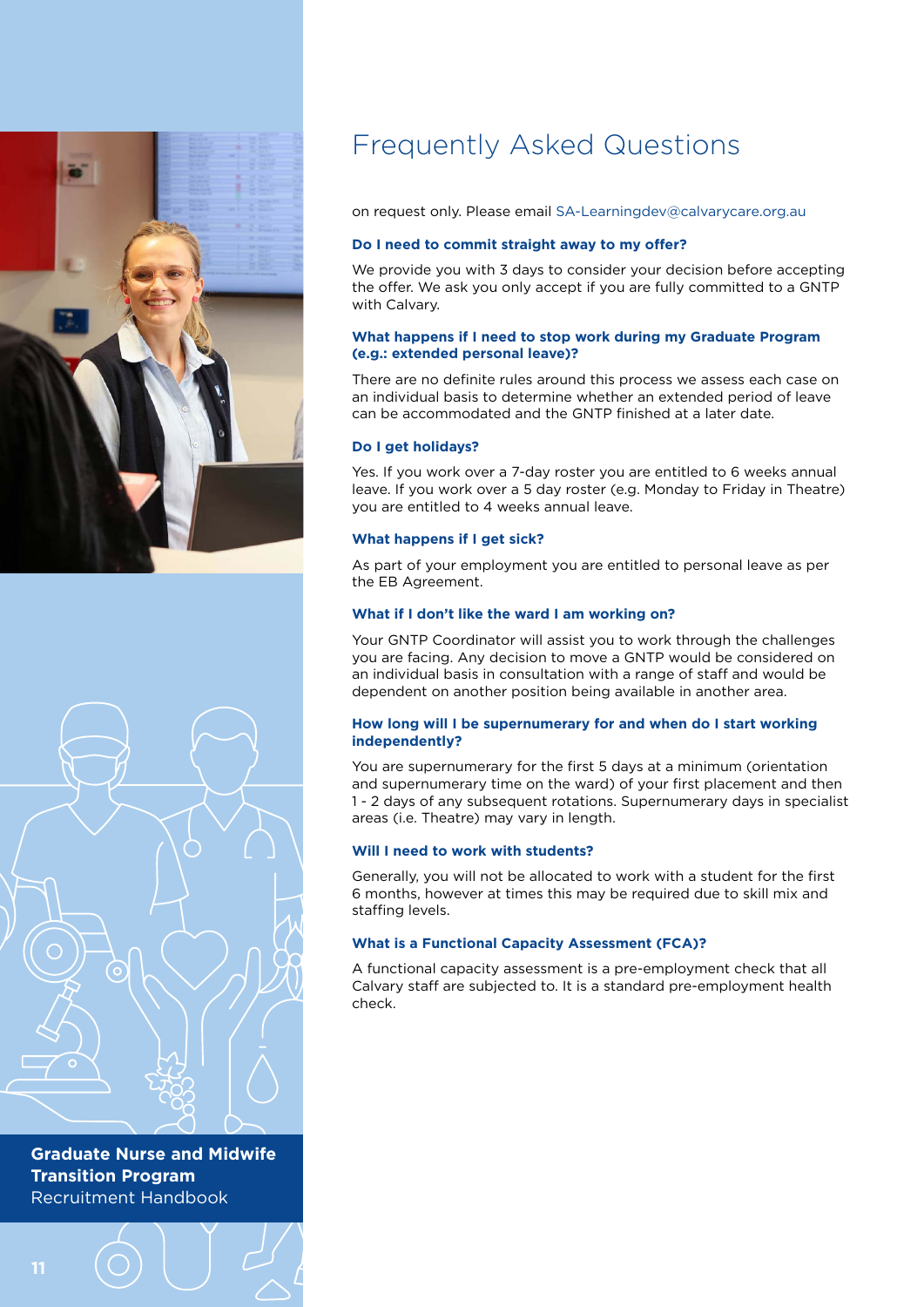



# Frequently Asked Questions

on request only. Please email [SA-Learningdev@calvarycare.org.au](mailto:SA-Learningdev@calvarycare.org.au)

### **Do I need to commit straight away to my offer?**

We provide you with 3 days to consider your decision before accepting the offer. We ask you only accept if you are fully committed to a GNTP with Calvary.

#### **What happens if I need to stop work during my Graduate Program (e.g.: extended personal leave)?**

There are no definite rules around this process we assess each case on an individual basis to determine whether an extended period of leave can be accommodated and the GNTP finished at a later date.

### **Do I get holidays?**

Yes. If you work over a 7-day roster you are entitled to 6 weeks annual leave. If you work over a 5 day roster (e.g. Monday to Friday in Theatre) you are entitled to 4 weeks annual leave.

#### **What happens if I get sick?**

As part of your employment you are entitled to personal leave as per the EB Agreement.

#### **What if I don't like the ward I am working on?**

Your GNTP Coordinator will assist you to work through the challenges you are facing. Any decision to move a GNTP would be considered on an individual basis in consultation with a range of staff and would be dependent on another position being available in another area.

#### **How long will I be supernumerary for and when do I start working independently?**

You are supernumerary for the first 5 days at a minimum (orientation and supernumerary time on the ward) of your first placement and then 1 - 2 days of any subsequent rotations. Supernumerary days in specialist areas (i.e. Theatre) may vary in length.

#### **Will I need to work with students?**

Generally, you will not be allocated to work with a student for the first 6 months, however at times this may be required due to skill mix and staffing levels.

### **What is a Functional Capacity Assessment (FCA)?**

A functional capacity assessment is a pre-employment check that all Calvary staff are subjected to. It is a standard pre-employment health check.